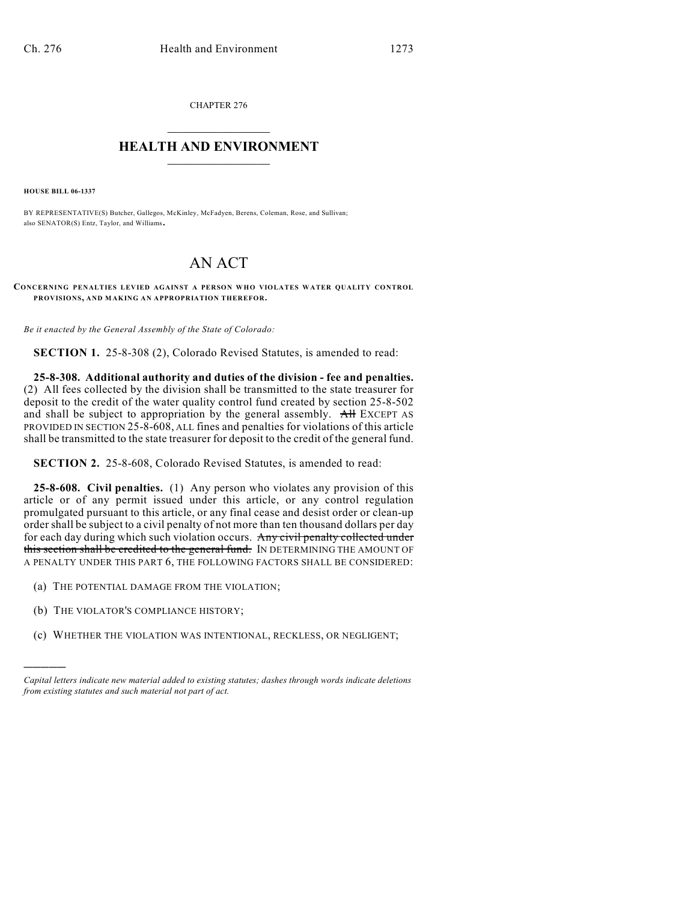CHAPTER 276

## $\mathcal{L}_\text{max}$  . The set of the set of the set of the set of the set of the set of the set of the set of the set of the set of the set of the set of the set of the set of the set of the set of the set of the set of the set **HEALTH AND ENVIRONMENT**  $\_$

**HOUSE BILL 06-1337**

BY REPRESENTATIVE(S) Butcher, Gallegos, McKinley, McFadyen, Berens, Coleman, Rose, and Sullivan; also SENATOR(S) Entz, Taylor, and Williams.

## AN ACT

**CONCERNING PENALTIES LEVIED AGAINST A PERSON WHO VIOLATES WATER QUALITY CONTROL PROVISIONS, AND MAKING AN APPROPRIATION THEREFOR.**

*Be it enacted by the General Assembly of the State of Colorado:*

**SECTION 1.** 25-8-308 (2), Colorado Revised Statutes, is amended to read:

**25-8-308. Additional authority and duties of the division - fee and penalties.** (2) All fees collected by the division shall be transmitted to the state treasurer for deposit to the credit of the water quality control fund created by section 25-8-502 and shall be subject to appropriation by the general assembly. All EXCEPT AS PROVIDED IN SECTION 25-8-608, ALL fines and penalties for violations of this article shall be transmitted to the state treasurer for deposit to the credit of the general fund.

**SECTION 2.** 25-8-608, Colorado Revised Statutes, is amended to read:

**25-8-608. Civil penalties.** (1) Any person who violates any provision of this article or of any permit issued under this article, or any control regulation promulgated pursuant to this article, or any final cease and desist order or clean-up order shall be subject to a civil penalty of not more than ten thousand dollars per day for each day during which such violation occurs. Any civil penalty collected under this section shall be credited to the general fund. IN DETERMINING THE AMOUNT OF A PENALTY UNDER THIS PART 6, THE FOLLOWING FACTORS SHALL BE CONSIDERED:

- (a) THE POTENTIAL DAMAGE FROM THE VIOLATION;
- (b) THE VIOLATOR'S COMPLIANCE HISTORY;

)))))

(c) WHETHER THE VIOLATION WAS INTENTIONAL, RECKLESS, OR NEGLIGENT;

*Capital letters indicate new material added to existing statutes; dashes through words indicate deletions from existing statutes and such material not part of act.*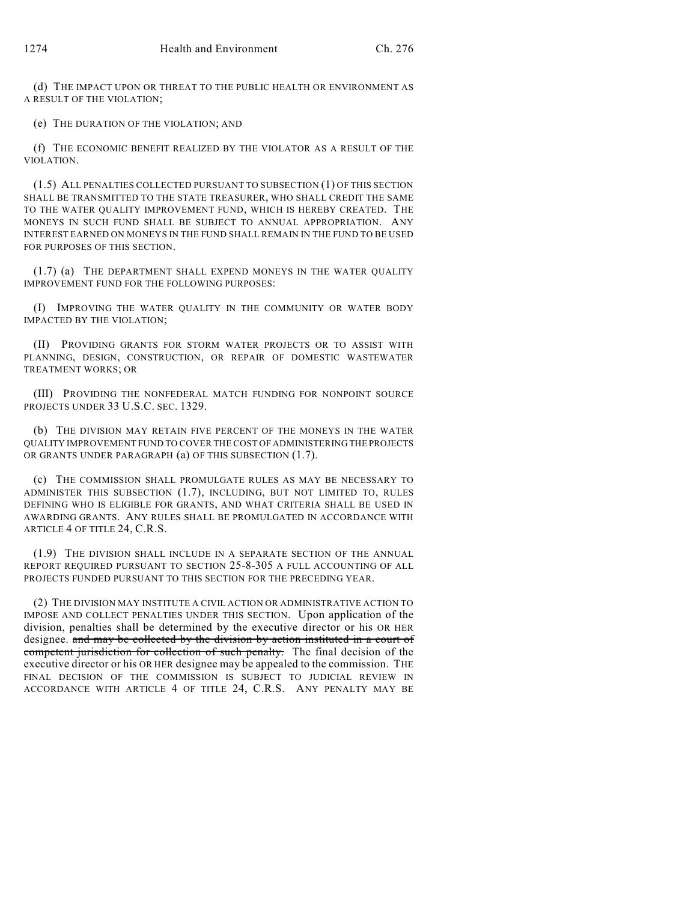(d) THE IMPACT UPON OR THREAT TO THE PUBLIC HEALTH OR ENVIRONMENT AS A RESULT OF THE VIOLATION;

(e) THE DURATION OF THE VIOLATION; AND

(f) THE ECONOMIC BENEFIT REALIZED BY THE VIOLATOR AS A RESULT OF THE VIOLATION.

(1.5) ALL PENALTIES COLLECTED PURSUANT TO SUBSECTION (1) OF THIS SECTION SHALL BE TRANSMITTED TO THE STATE TREASURER, WHO SHALL CREDIT THE SAME TO THE WATER QUALITY IMPROVEMENT FUND, WHICH IS HEREBY CREATED. THE MONEYS IN SUCH FUND SHALL BE SUBJECT TO ANNUAL APPROPRIATION. ANY INTEREST EARNED ON MONEYS IN THE FUND SHALL REMAIN IN THE FUND TO BE USED FOR PURPOSES OF THIS SECTION.

(1.7) (a) THE DEPARTMENT SHALL EXPEND MONEYS IN THE WATER QUALITY IMPROVEMENT FUND FOR THE FOLLOWING PURPOSES:

(I) IMPROVING THE WATER QUALITY IN THE COMMUNITY OR WATER BODY IMPACTED BY THE VIOLATION;

(II) PROVIDING GRANTS FOR STORM WATER PROJECTS OR TO ASSIST WITH PLANNING, DESIGN, CONSTRUCTION, OR REPAIR OF DOMESTIC WASTEWATER TREATMENT WORKS; OR

(III) PROVIDING THE NONFEDERAL MATCH FUNDING FOR NONPOINT SOURCE PROJECTS UNDER 33 U.S.C. SEC. 1329.

(b) THE DIVISION MAY RETAIN FIVE PERCENT OF THE MONEYS IN THE WATER QUALITY IMPROVEMENT FUND TO COVER THE COST OF ADMINISTERING THE PROJECTS OR GRANTS UNDER PARAGRAPH (a) OF THIS SUBSECTION (1.7).

(c) THE COMMISSION SHALL PROMULGATE RULES AS MAY BE NECESSARY TO ADMINISTER THIS SUBSECTION (1.7), INCLUDING, BUT NOT LIMITED TO, RULES DEFINING WHO IS ELIGIBLE FOR GRANTS, AND WHAT CRITERIA SHALL BE USED IN AWARDING GRANTS. ANY RULES SHALL BE PROMULGATED IN ACCORDANCE WITH ARTICLE 4 OF TITLE 24, C.R.S.

(1.9) THE DIVISION SHALL INCLUDE IN A SEPARATE SECTION OF THE ANNUAL REPORT REQUIRED PURSUANT TO SECTION 25-8-305 A FULL ACCOUNTING OF ALL PROJECTS FUNDED PURSUANT TO THIS SECTION FOR THE PRECEDING YEAR.

(2) THE DIVISION MAY INSTITUTE A CIVIL ACTION OR ADMINISTRATIVE ACTION TO IMPOSE AND COLLECT PENALTIES UNDER THIS SECTION. Upon application of the division, penalties shall be determined by the executive director or his OR HER designee. and may be collected by the division by action instituted in a court of competent jurisdiction for collection of such penalty. The final decision of the executive director or his OR HER designee may be appealed to the commission. THE FINAL DECISION OF THE COMMISSION IS SUBJECT TO JUDICIAL REVIEW IN ACCORDANCE WITH ARTICLE 4 OF TITLE 24, C.R.S. ANY PENALTY MAY BE